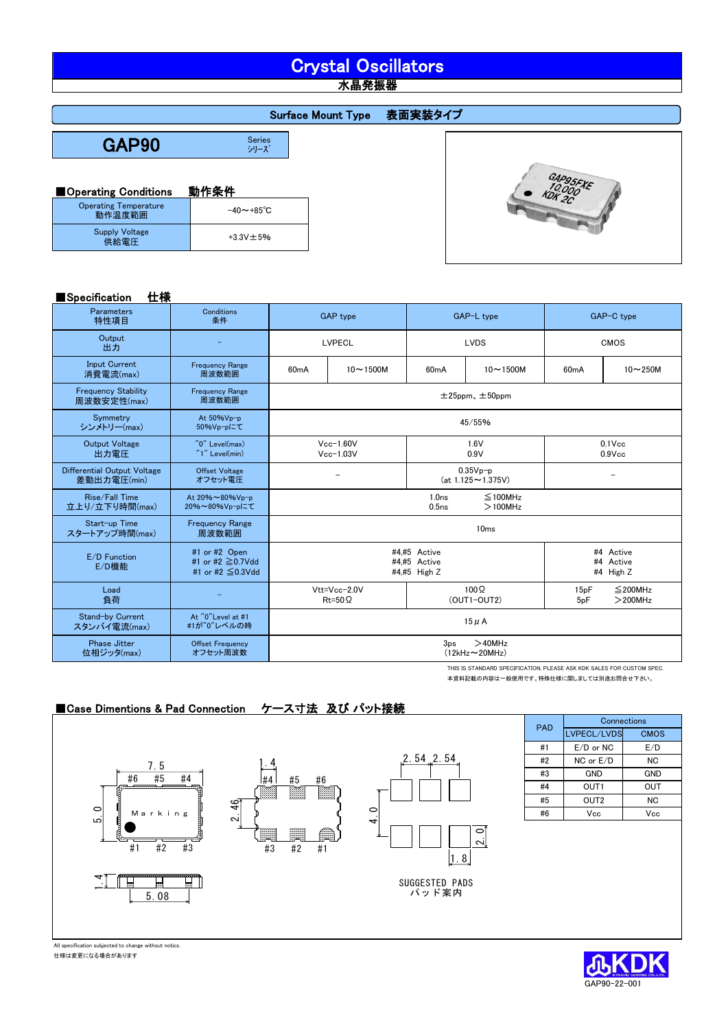# Crystal Oscillators

水晶発振器

#### Surface Mount Type 表面実装タイプ

GAP90

Series<br>シリーズ

#### ■Operating Conditions 動作条件

| <b>Operating Temperature</b><br>動作温度範囲 | $-40 \sim +85^{\circ}$ C |
|----------------------------------------|--------------------------|
| <b>Supply Voltage</b><br>供給電圧          | $+3.3V + 5%$             |

#### ■Specification 仕様

| I Specification<br>工禄                             |                                                             |                                                                                       |                                  |                            |                                                                       |                        |                             |  |
|---------------------------------------------------|-------------------------------------------------------------|---------------------------------------------------------------------------------------|----------------------------------|----------------------------|-----------------------------------------------------------------------|------------------------|-----------------------------|--|
| <b>Parameters</b><br>特性項目                         | Conditions<br>条件                                            | <b>GAP</b> type                                                                       |                                  | GAP-L type                 |                                                                       | GAP-C type             |                             |  |
| Output<br>出力                                      |                                                             | <b>LVPECL</b><br><b>LVDS</b>                                                          |                                  |                            |                                                                       |                        | <b>CMOS</b>                 |  |
| <b>Input Current</b><br>消費電流(max)                 | <b>Frequency Range</b><br>周波数範囲                             | $10 - 1500M$<br>60mA                                                                  |                                  | 60mA                       | $10 - 1500M$                                                          | 60mA                   | $10-250M$                   |  |
| <b>Frequency Stability</b><br>周波数安定性(max)         | <b>Frequency Range</b><br>周波数範囲                             | $±25$ ppm, $±50$ ppm                                                                  |                                  |                            |                                                                       |                        |                             |  |
| Symmetry<br>シンメトリー(max)                           | At 50%Vp-p<br>50%Vp-pにて                                     |                                                                                       |                                  |                            | 45/55%                                                                |                        |                             |  |
| <b>Output Voltage</b><br>出力電圧                     | $"0"$ Level(max)<br>$"1"$ Level(min)                        |                                                                                       | $Vcc-1.60V$<br>$Vcc-1.03V$       |                            | 1.6V<br>0.9V                                                          | $0.1$ Vcc<br>$0.9$ Vcc |                             |  |
| <b>Differential Output Voltage</b><br>差動出力電圧(min) | <b>Offset Voltage</b><br>オフセット電圧                            | $0.35Vp-p$<br>$(at 1.125 \sim 1.375V)$                                                |                                  |                            |                                                                       |                        |                             |  |
| Rise/Fall Time<br>立上り/立下り時間(max)                  | At 20%~80%Vp-p<br>20%~80%Vp-pにて                             | 1.0 <sub>ns</sub><br>$\leq$ 100MHz<br>0.5 <sub>ns</sub><br>$>100$ MHz                 |                                  |                            |                                                                       |                        |                             |  |
| Start-up Time<br>スタートアップ時間(max)                   | <b>Frequency Range</b><br>周波数範囲                             | 10 <sub>ms</sub>                                                                      |                                  |                            |                                                                       |                        |                             |  |
| E/D Function<br>E/D機能                             | #1 or #2 Open<br>#1 or #2 $\geq$ 0.7Vdd<br>#1 or #2 ≦0.3Vdd | #4.#5 Active<br>#4 Active<br>#4.#5 Active<br>#4 Active<br>#4,#5 High Z<br>#4 High $Z$ |                                  |                            |                                                                       |                        |                             |  |
| Load<br>負荷                                        |                                                             |                                                                                       | Vtt=Vcc-2.0V<br>$Rt = 50 \Omega$ | $100\Omega$<br>(OUT1-OUT2) |                                                                       | 15pF<br>5pF            | $\leq$ 200MHz<br>$>$ 200MHz |  |
| Stand-by Current<br>スタンバイ電流(max)                  | At "0"Level at #1<br>#1が"0"レベルの時                            | $15 \mu$ A                                                                            |                                  |                            |                                                                       |                        |                             |  |
| <b>Phase Jitter</b><br>位相ジッタ(max)                 | <b>Offset Frequency</b><br>オフセット周波数                         | $>40$ MHz<br>3 <sub>DS</sub><br>$(12kHz \sim 20MHz)$                                  |                                  |                            |                                                                       |                        |                             |  |
|                                                   |                                                             |                                                                                       |                                  |                            | THIS IS STANDARD SPECIFICATION, PLEASE ASK KDK SALES FOR CUSTOM SPEC. |                        |                             |  |

THIS IS STANDARD SPECIFICATION, PLEASE ASK KDK SALES FOR CUSTOM SPEC. 本資料記載の内容は一般使用です。特殊仕様に関しましては別途お問合せ下さい。

#### ■Case Dimentions & Pad Connection ケース寸法 及び パット接続







| <b>PAD</b> | Connections      |             |  |  |  |  |
|------------|------------------|-------------|--|--|--|--|
|            | LVPECL/LVDS      | <b>CMOS</b> |  |  |  |  |
| #1         | $E/D$ or NC      | E/D         |  |  |  |  |
| #2         | NC or E/D        | ΝC          |  |  |  |  |
| #3         | GND              | GND         |  |  |  |  |
| #4         | OUT1             | OUT         |  |  |  |  |
| #5         | OUT <sub>2</sub> | ΝC          |  |  |  |  |
| #6         | Vcc              | Vcc         |  |  |  |  |
|            |                  |             |  |  |  |  |

SUGGESTED PADS パッド案内





All specification subjected to change without notics. 仕様は変更になる場合があります